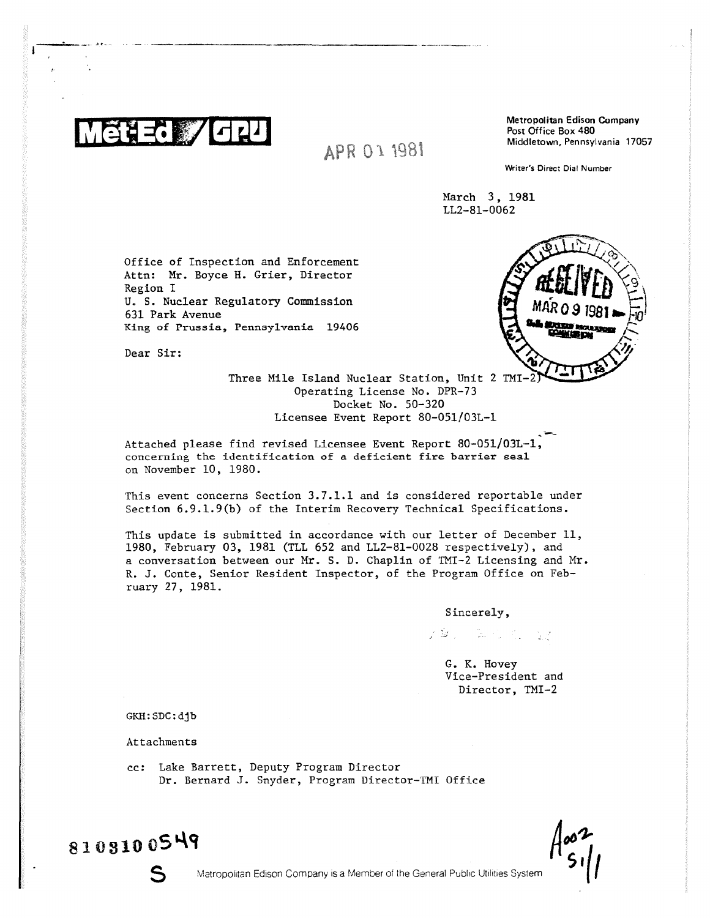

*A P*

Metropolitan Edison Company

Writer's Direct Dial Number

March 3, 1981 LL2-81-0062

Office of Inspection and Enforcement Attn: Mr. Boyce H. Grier, Director Region I U. S. Nuclear Regulatory Commission 631 Park Avenue King of Prussia, Pennsylvania 19406

Dear Sir:

Three Mile Island Nuclear Station, Unit 2 TMI-Operating License No. DPR-73 Docket No. 50-320 Licensee Event Report 80-051/03L-1

Attached please find revised Licensee Event Report 80-051/03L-1, concerning the identification of a deficient fire barrier seal on November 10, 1980.

This event concerns Section 3.7.1.1 and is considered reportable under Section 6.9.1.9(b) of the Interim Recovery Technical Specifications.

This update is submitted in accordance with our letter of December 11, 1980, February 03, 1981 (TLL 652 and LL2-81-0028 respectively), and a conversation between our Mr. S. D. Chaplin of YMI-2 Licensing and Mr. R. J. Conte, Senior Resident Inspector, of the Program Office on February 27, 1981.

Sincerely,

えきょう 取り もっせる

G. K. Hovey Vice-President and Director, TMI-2

GKH:SDC:djb

Attachments

cc: Lake Barrett, Deputy Program Director Dr. Bernard J. Snyder, Program Director-IMI Office

81 0 310 05 4g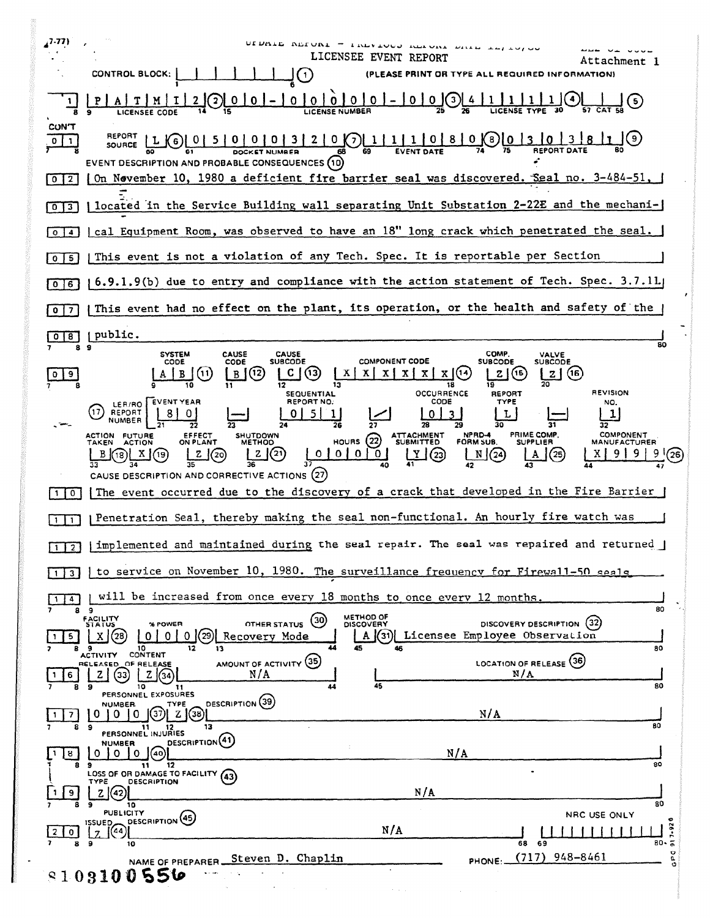| 7.77)                          | CONTROL BLOCK:<br>$\mathbf{1}$                                                                                                                                                                          | UIDAIE REIUNI - IREVIOUS REIUNI DRIE I<br>LICENSEE EVENT REPORT                                              | (PLEASE PRINT OR TYPE ALL REQUIRED INFORMATION)                                           | Attachment l                                   |
|--------------------------------|---------------------------------------------------------------------------------------------------------------------------------------------------------------------------------------------------------|--------------------------------------------------------------------------------------------------------------|-------------------------------------------------------------------------------------------|------------------------------------------------|
|                                |                                                                                                                                                                                                         | $0 0 0 0 0  -  0 0$                                                                                          |                                                                                           |                                                |
| <b>CON'T</b>                   | $\underbrace{L}{6}$<br>SOURCE<br>EVENT DESCRIPTION AND PROBABLE CONSEQUENCES (10)                                                                                                                       |                                                                                                              |                                                                                           |                                                |
| $0$   2                        | (On Nevember 10, 1980 a deficient fire barrier seal was discovered. Seal no. 3-484-51,                                                                                                                  |                                                                                                              |                                                                                           |                                                |
| 3 <sup>1</sup><br>$\mathbf{0}$ | located in the Service Building wall separating Unit Substation 2-22E and the mechani-                                                                                                                  |                                                                                                              |                                                                                           |                                                |
| $\overline{a}$<br>$\circ$      | cal Equipment Room, was observed to have an 18" long crack which penetrated the seal.                                                                                                                   |                                                                                                              |                                                                                           |                                                |
| I 5.<br>$\mathbf{o}$           | This event is not a violation of any Tech. Spec. It is reportable per Section                                                                                                                           |                                                                                                              |                                                                                           |                                                |
| 6<br>O                         | 6.9.1.9(b) due to entry and compliance with the action statement of Tech. Spec. 3.7.11.                                                                                                                 |                                                                                                              |                                                                                           |                                                |
| 7<br>0                         | This event had no effect on the plant, its operation, or the health and safety of the                                                                                                                   |                                                                                                              |                                                                                           |                                                |
| 8                              | public.                                                                                                                                                                                                 |                                                                                                              |                                                                                           | 80                                             |
| 9                              | <b>SYSTEM</b><br><b>CAUSE</b><br><b>CAUSE</b><br><b>SUBCODE</b><br>CODE<br>CODE<br>(12)<br>(11)<br>B<br>SEQUENTIAL                                                                                      | <b>COMPONENT CODE</b><br>$\mathbf{X}$<br>X.<br>$X \mid X \mid$<br>X(14)<br>$\mathbf{x}$<br>OCCURRENCE        | COMP.<br>VALVE<br>SUBCODE<br>SUBCODE<br>(15<br>- Z  <br><b>REPORT</b>                     | (16)<br><b>REVISION</b>                        |
|                                | REPORT NO.<br><b>EVENT YEAR</b><br>LER/RO<br>17<br><b>REPORT</b><br><b>ACTION FUTURE</b><br>EFFECT<br>ON PLANT<br><b>SHUTDOWN</b><br><b>ACTION</b><br>METHOD<br>TAKFN<br>(21)<br>z<br>(20)<br>K18)<br>A | CODE<br>5.<br>ATTACHMENT<br>SUBMITTED<br>HOURS $(22)$<br>(23)<br>  0   0  <br>0 <sup>1</sup><br>$\mathbf{0}$ | TYPE<br>L<br><b>PRIME COMP</b><br>NPRD-4<br><b>FORM SUB.</b><br><b>SUPPLIER</b><br>N/(24) | NO.<br><b>COMPONENT</b><br><b>MANUFACTURER</b> |
| $\mathbf{0}$                   | CAUSE DESCRIPTION AND CORRECTIVE ACTIONS (27)<br>The event occurred due to the discovery of a crack that developed in the Fire Barrier                                                                  |                                                                                                              |                                                                                           |                                                |
|                                | Penetration Seal, thereby making the seal non-functional. An hourly fire watch was                                                                                                                      |                                                                                                              |                                                                                           |                                                |
| 1 <sup>12</sup>                | implemented and maintained during the seal repair. The seal was repaired and returned                                                                                                                   |                                                                                                              |                                                                                           |                                                |
|                                | to service on November 10, 1980. The surveillance frequency for Firewall-50 seals                                                                                                                       |                                                                                                              |                                                                                           |                                                |
| 4                              | will be increased from once every 18 months to once every 12 months.<br>89                                                                                                                              |                                                                                                              |                                                                                           | 80                                             |
|                                | <b>FACILITY</b><br>STATUS<br>OTHER STATUS<br>% POWER<br>'28<br>0<br>Recovery Mode<br>0.<br>9<br>10<br>12<br>13<br>CONTENT<br><b>ACTIVITY</b>                                                            | METHOD OF<br>(30)<br><b>DISCOVERY</b><br>$^{\prime}31$<br>A<br>45<br>46                                      | DISCOVERY DESCRIPTION<br>Licensee Employee Observation                                    | (32)<br>80                                     |
| 6                              | AMOUNT OF ACTIVITY (35)<br>RELEASED_OF RELEASE<br>N/A<br>(33)<br>z.<br>Z(34)<br>10<br>э<br>11<br>PERSONNEL EXPOSURES                                                                                    | 45                                                                                                           | LOCATION OF RELEASE (36)<br>N/A                                                           | 80                                             |
| 71                             | DESCRIPTION (39)<br><b>NUMBER</b><br>TYPE<br>Z(38)<br>【37<br>U<br>$^{\Omega}$<br>0                                                                                                                      |                                                                                                              | N/A                                                                                       | 80                                             |
| 8                              | 13<br>9<br>11<br>PERSONNEL INJURIES<br>DESCRIPTION(41)<br><b>NUMBER</b>                                                                                                                                 |                                                                                                              |                                                                                           |                                                |
| 8                              | 0<br>$\Omega$<br>(40)<br>$\Omega$<br>11<br>12<br>LOSS OF OR DAMAGE TO FACILITY (43)                                                                                                                     | N/A                                                                                                          |                                                                                           | 80                                             |
| 9                              | DESCRIPTION<br>TYPE<br>ΖI<br>(42)<br>э<br>10                                                                                                                                                            | N/A                                                                                                          |                                                                                           | 80                                             |
| 0                              | <b>PUBLICITY</b><br>DESCRIPTION (45)<br>ISSUED,<br>(44)                                                                                                                                                 | N/A                                                                                                          |                                                                                           | NRC USE ONLY<br>7.92                           |
| 8                              | 9<br>10<br>NAME OF PREPARER Steven D. Chaplin                                                                                                                                                           |                                                                                                              | 68<br>- 69<br>$(717)$ 948-8461<br>PHONE:                                                  | $80 - 5$<br>o<br>۹,                            |
| 8108100556                     |                                                                                                                                                                                                         |                                                                                                              |                                                                                           |                                                |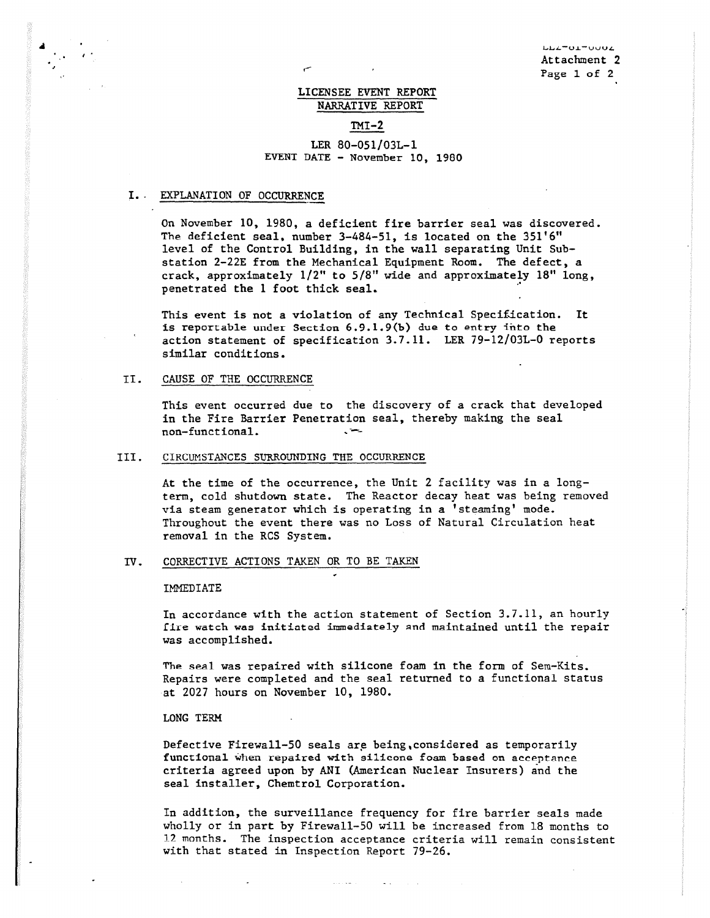## LICENSEE EVENT REPORT NARRATIVE REPORT

### $TMI-2$

### LER 80-051/03L-1 EVENT DATE - November 10, 1980

#### I.. EXPLANATION OF OCCURRENCE

On November 10, 1980, a deficient fire barrier seal was discovered. The deficient seal, number 3-484-51, is located on the 351'6" level of the Control Building, in the wall separating Unit Substation 2-22E from the Mechanical Equipment Room. The defect, a crack, approximately 1/2" to 5/8" wide and approximately 18" long, penetrated the 1 foot thick seal.

This event is not a violation of any Technical Specification. It is reportable under Section 6.9.1.9(b) due to entry Into the action statement of specification 3.7.11. LER 79-12/03L-0 reports similar conditions.

## II. CAUSE OF THE OCCURRENCE

This event occurred due to the discovery of a crack that developed in the Fire Barrier Penetration seal, thereby making the seal non-functional.

#### III. CIRCUMSTANCES SURROUNDING THE OCCURRENCE

At the time of the occurrence, the Unit 2 facility was in a longterm, cold shutdown state. The Reactor decay heat was being removed via steam generator which is operating in a 'steaming' mode. Throughout the event there was no Loss of Natural Circulation heat removal in the RCS System.

## TV. CORRECTIVE ACTIONS TAKEN OR TO BE TAKEN

#### IMMEDIATE

In accordance with the action statement of Section 3.7.11, an hourly fire watch was initiated immediately end **maintained** until the repair was accomplished.

The seal was repaired with silicone foam in the form of Sem-Kits. Repairs were completed and the seal returned to a functional status at 2027 hours on November 10, 1980.

#### LONG TERM

Defective Firewall-50 seals are being, considered as temporarily functional when repaired with silicone foam based on acceptance criteria agreed upon by ANI (American Nuclear Insurers) and the seal installer, Chemtrol Corporation.

 $\sim$  1000  $\sim$  1000  $\sim$  1000  $\sim$ 

In addition, the surveillance frequency for fire barrier seals made wholly or in part by Firewall-50 will be increased from 18 months to 12 months. The inspection acceptance criteria will remain consistent with that stated in Inspection Report 79-26.

 $\mathcal{L}^{\mathcal{L}}(\mathcal{L}^{\mathcal{L}}(\mathbf{X},\mathbf{X},\mathbf{X},\mathbf{X},\mathbf{X},\mathbf{X},\mathbf{X},\mathbf{X},\mathbf{X},\mathbf{X},\mathbf{X},\mathbf{X},\mathbf{X},\mathbf{X},\mathbf{X},\mathbf{X},\mathbf{X},\mathbf{X},\mathbf{X},\mathbf{X},\mathbf{X},\mathbf{X},\mathbf{X},\mathbf{X},\mathbf{X},\mathbf{X},\mathbf{X},\mathbf{X},\mathbf{X},\mathbf{X},\mathbf{X},\mathbf{X},\math$